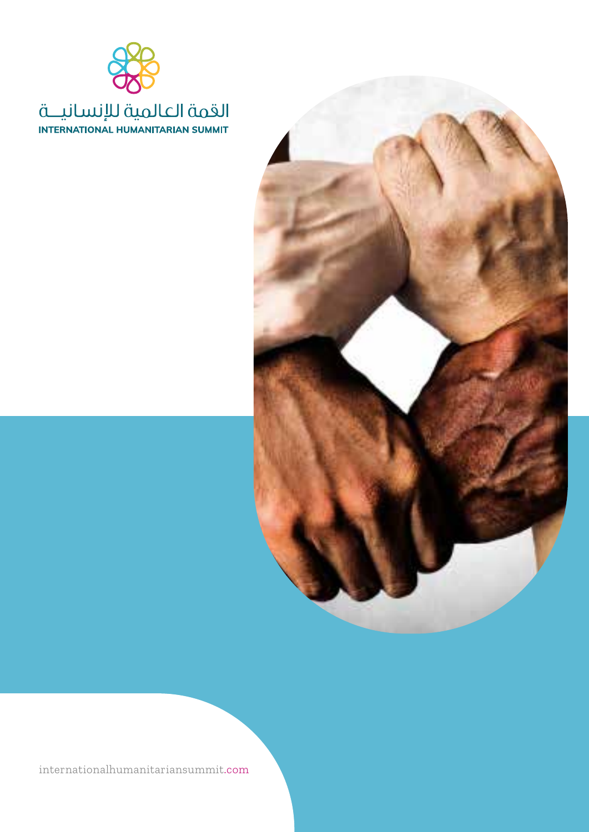



internationalhumanitariansummit.com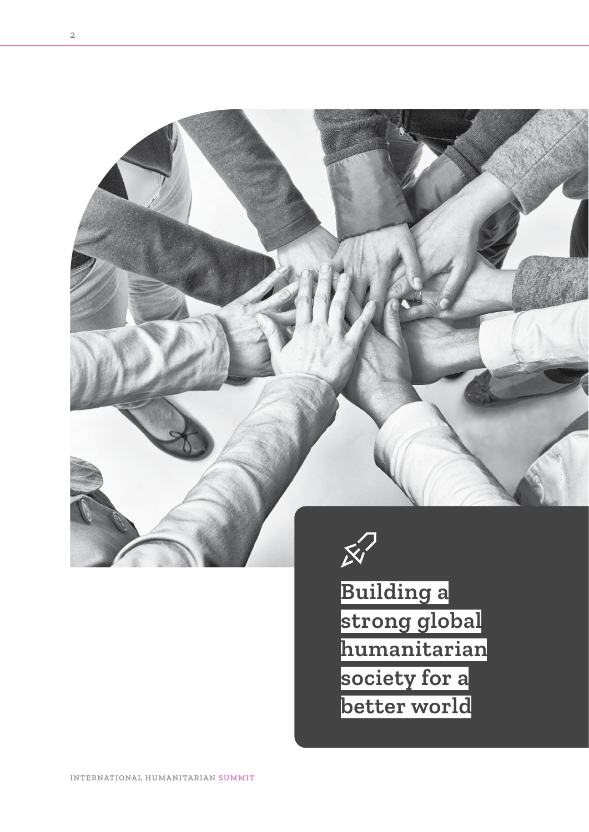



**Building a strong global humanitarian society for a better world**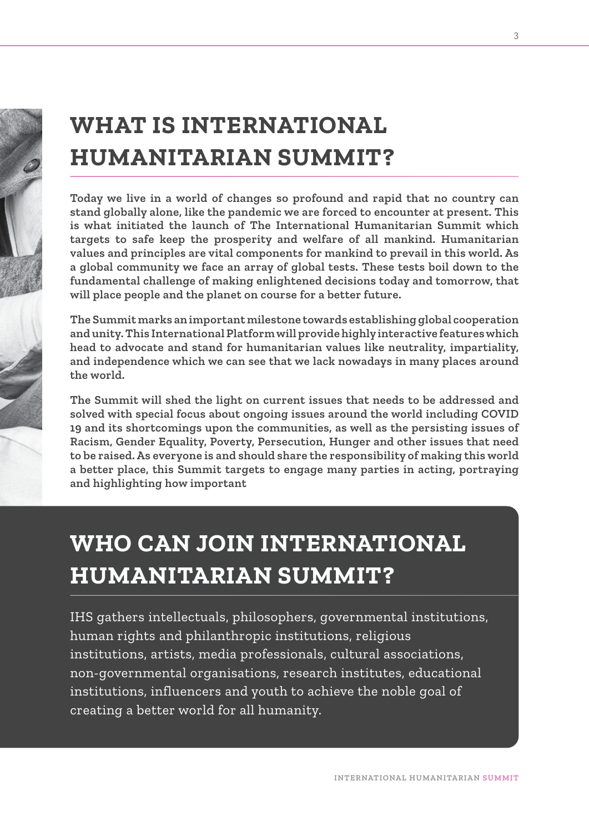# **WHAT IS INTERNATIONAL HUMANITARIAN SUMMIT?**

**Today we live in a world of changes so profound and rapid that no country can stand globally alone, like the pandemic we are forced to encounter at present. This is what initiated the launch of The International Humanitarian Summit which targets to safe keep the prosperity and welfare of all mankind. Humanitarian values and principles are vital components for mankind to prevail in this world. As a global community we face an array of global tests. These tests boil down to the fundamental challenge of making enlightened decisions today and tomorrow, that will place people and the planet on course for a better future.**

**The Summit marks an important milestone towards establishing global cooperation and unity. This International Platform will provide highly interactive features which head to advocate and stand for humanitarian values like neutrality, impartiality, and independence which we can see that we lack nowadays in many places around the world.**

**The Summit will shed the light on current issues that needs to be addressed and solved with special focus about ongoing issues around the world including COVID 19 and its shortcomings upon the communities, as well as the persisting issues of Racism, Gender Equality, Poverty, Persecution, Hunger and other issues that need to be raised. As everyone is and should share the responsibility of making this world a better place, this Summit targets to engage many parties in acting, portraying and highlighting how important**

# **WHO CAN JOIN INTERNATIONAL HUMANITARIAN SUMMIT?**

IHS gathers intellectuals, philosophers, governmental institutions, human rights and philanthropic institutions, religious institutions, artists, media professionals, cultural associations, non-governmental organisations, research institutes, educational institutions, influencers and youth to achieve the noble goal of creating a better world for all humanity.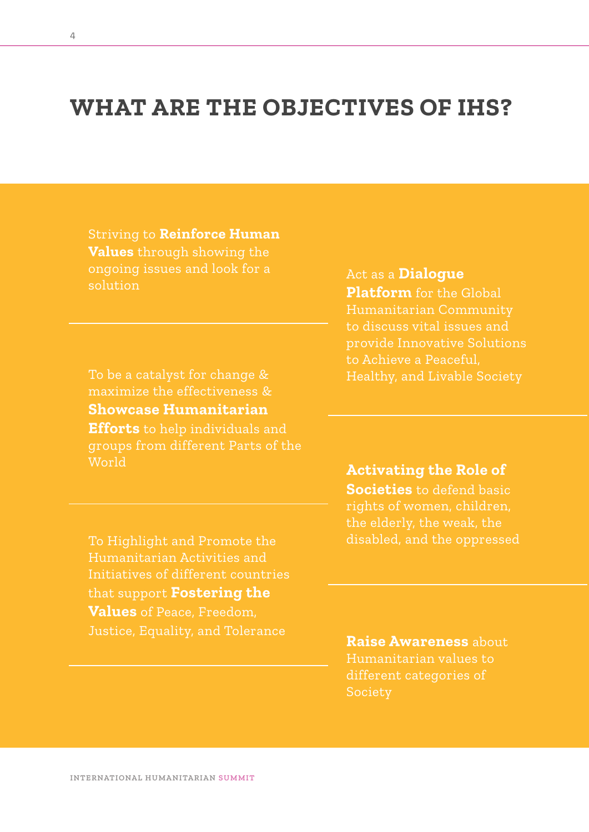## **WHAT ARE THE OBJECTIVES OF IHS?**

Striving to **Reinforce Human Values** through showing the ongoing issues and look for a solution

To be a catalyst for change & maximize the effectiveness & **Showcase Humanitarian Efforts** to help individuals and groups from different Parts of the World

To Highlight and Promote the Humanitarian Activities and Initiatives of different countries that support **Fostering the Values** of Peace, Freedom, Justice, Equality, and Tolerance **Raise Awareness** about

Act as a **Dialogue Platform** for the Global Humanitarian Community to discuss vital issues and provide Innovative Solutions to Achieve a Peaceful, Healthy, and Livable Society

**Activating the Role of Societies** to defend basic rights of women, children, the elderly, the weak, the disabled, and the oppressed

Humanitarian values to different categories of **Society**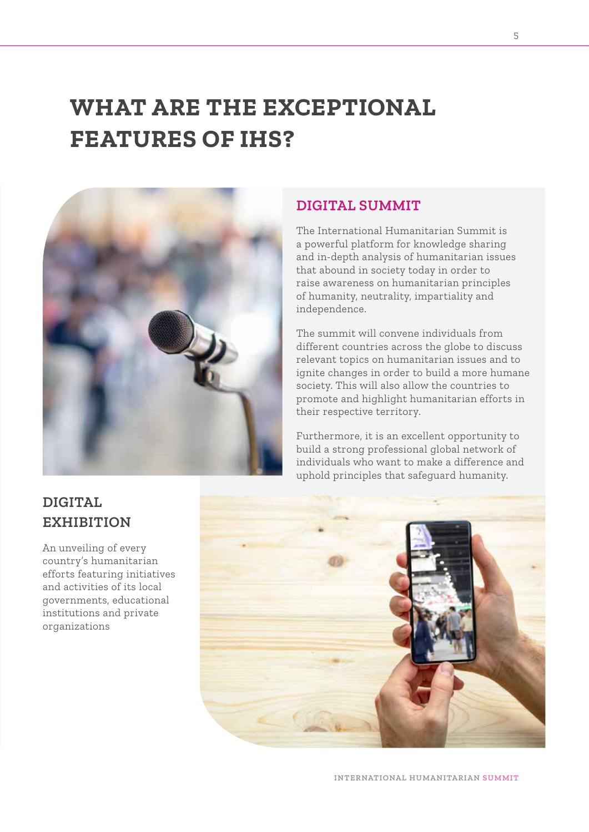## **WHAT ARE THE EXCEPTIONAL FEATURES OF IHS?**



#### **DIGITAL SUMMIT**

The International Humanitarian Summit is a powerful platform for knowledge sharing and in-depth analysis of humanitarian issues that abound in society today in order to raise awareness on humanitarian principles of humanity, neutrality, impartiality and independence.

The summit will convene individuals from different countries across the globe to discuss relevant topics on humanitarian issues and to ignite changes in order to build a more humane society. This will also allow the countries to promote and highlight humanitarian efforts in their respective territory.

Furthermore, it is an excellent opportunity to build a strong professional global network of individuals who want to make a difference and uphold principles that safeguard humanity.



### **DIGITAL EXHIBITION**

An unveiling of every country's humanitarian efforts featuring initiatives and activities of its local governments, educational institutions and private organizations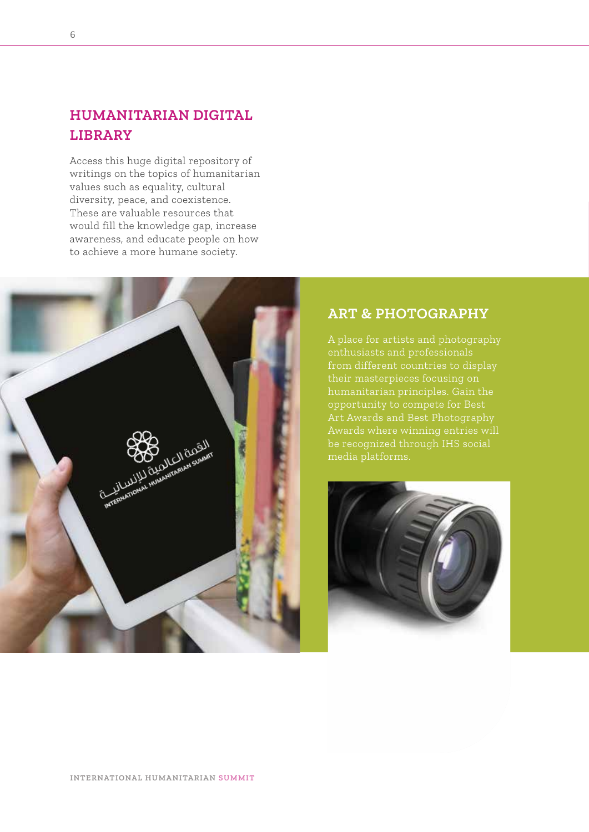### **HUMANITARIAN DIGITAL LIBRARY**

Access this huge digital repository of writings on the topics of humanitarian values such as equality, cultural diversity, peace, and coexistence. These are valuable resources that would fill the knowledge gap, increase awareness, and educate people on how to achieve a more humane society.



#### **ART & PHOTOGRAPHY**

A place for artists and photography enthusiasts and professionals from different countries to display opportunity to compete for Best Art Awards and Best Photography be recognized through IHS social

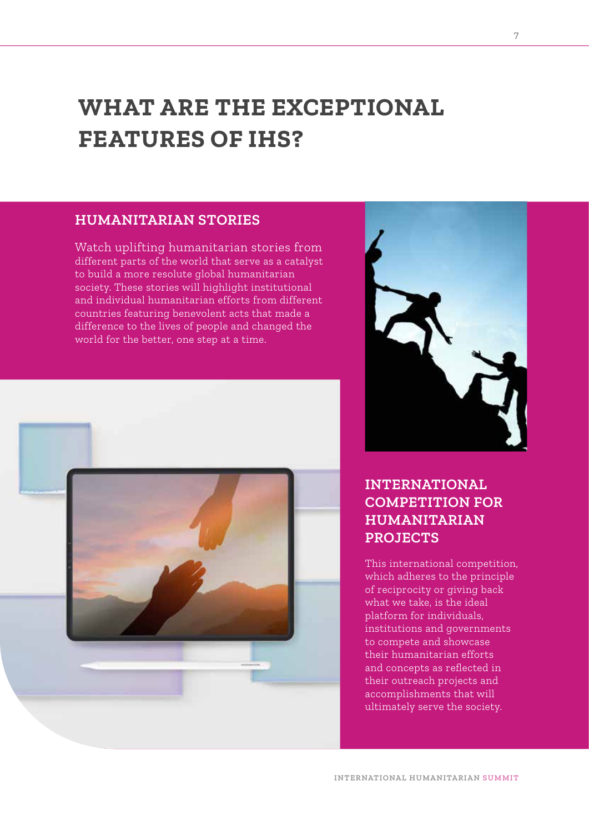## **WHAT ARE THE EXCEPTIONAL FEATURES OF IHS?**

#### **HUMANITARIAN STORIES**

Watch uplifting humanitarian stories from different parts of the world that serve as a catalyst to build a more resolute global humanitarian society. These stories will highlight institutional and individual humanitarian efforts from different countries featuring benevolent acts that made a difference to the lives of people and changed the world for the better, one step at a time.





#### **INTERNATIONAL COMPETITION FOR HUMANITARIAN PROJECTS**

This international competition, which adheres to the principle of reciprocity or giving back what we take, is the ideal platform for individuals, institutions and governments to compete and showcase their humanitarian efforts and concepts as reflected in their outreach projects and accomplishments that will ultimately serve the society.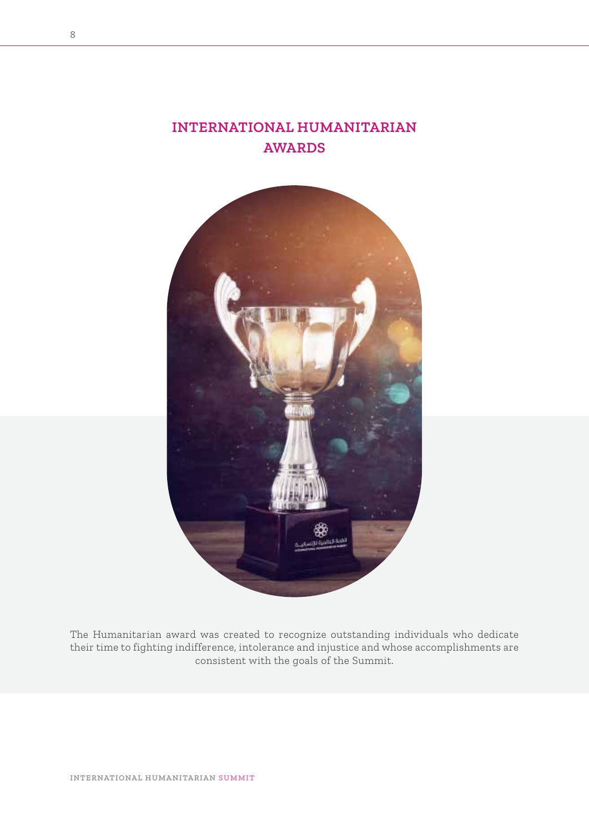### **INTERNATIONAL HUMANITARIAN AWARDS**



The Humanitarian award was created to recognize outstanding individuals who dedicate their time to fighting indifference, intolerance and injustice and whose accomplishments are consistent with the goals of the Summit.